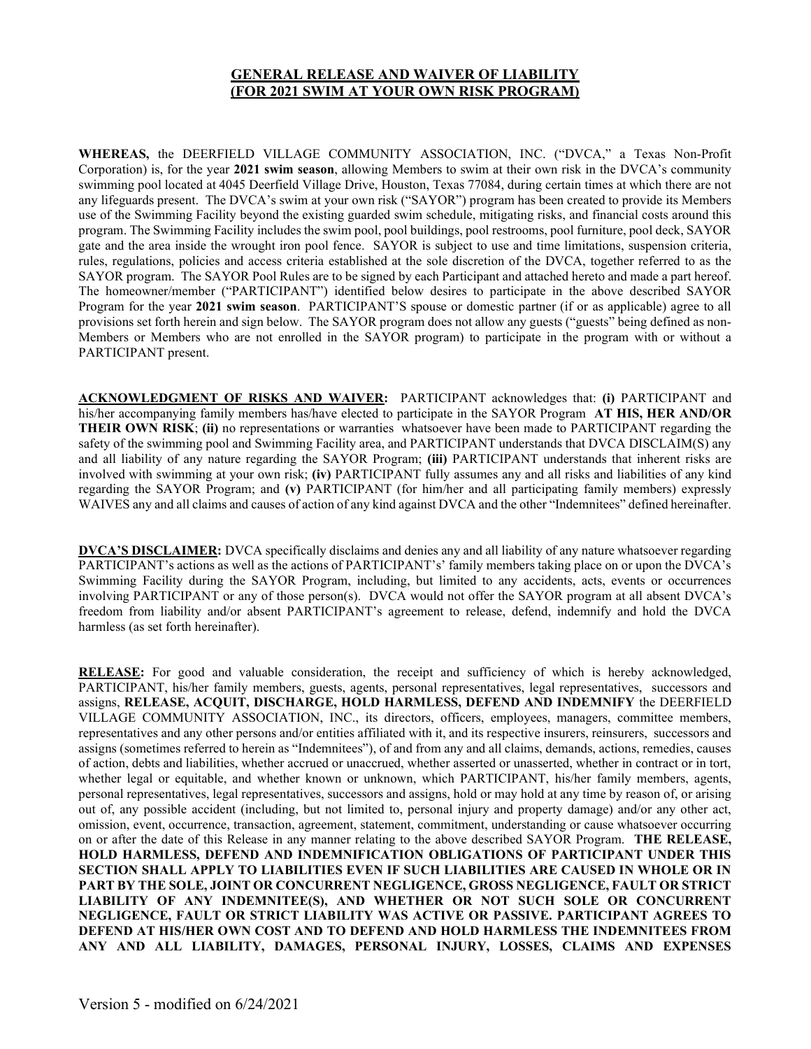## GENERAL RELEASE AND WAIVER OF LIABILITY (FOR 2021 SWIM AT YOUR OWN RISK PROGRAM)

WHEREAS, the DEERFIELD VILLAGE COMMUNITY ASSOCIATION, INC. ("DVCA," a Texas Non-Profit Corporation) is, for the year 2021 swim season, allowing Members to swim at their own risk in the DVCA's community swimming pool located at 4045 Deerfield Village Drive, Houston, Texas 77084, during certain times at which there are not any lifeguards present. The DVCA's swim at your own risk ("SAYOR") program has been created to provide its Members use of the Swimming Facility beyond the existing guarded swim schedule, mitigating risks, and financial costs around this program. The Swimming Facility includes the swim pool, pool buildings, pool restrooms, pool furniture, pool deck, SAYOR gate and the area inside the wrought iron pool fence. SAYOR is subject to use and time limitations, suspension criteria, rules, regulations, policies and access criteria established at the sole discretion of the DVCA, together referred to as the SAYOR program. The SAYOR Pool Rules are to be signed by each Participant and attached hereto and made a part hereof. The homeowner/member ("PARTICIPANT") identified below desires to participate in the above described SAYOR Program for the year 2021 swim season. PARTICIPANT'S spouse or domestic partner (if or as applicable) agree to all provisions set forth herein and sign below. The SAYOR program does not allow any guests ("guests" being defined as non-Members or Members who are not enrolled in the SAYOR program) to participate in the program with or without a PARTICIPANT present.

ACKNOWLEDGMENT OF RISKS AND WAIVER: PARTICIPANT acknowledges that: (i) PARTICIPANT and his/her accompanying family members has/have elected to participate in the SAYOR Program AT HIS, HER AND/OR THEIR OWN RISK; (ii) no representations or warranties whatsoever have been made to PARTICIPANT regarding the safety of the swimming pool and Swimming Facility area, and PARTICIPANT understands that DVCA DISCLAIM(S) any and all liability of any nature regarding the SAYOR Program; (iii) PARTICIPANT understands that inherent risks are involved with swimming at your own risk; (iv) PARTICIPANT fully assumes any and all risks and liabilities of any kind regarding the SAYOR Program; and (v) PARTICIPANT (for him/her and all participating family members) expressly WAIVES any and all claims and causes of action of any kind against DVCA and the other "Indemnitees" defined hereinafter.

**DVCA'S DISCLAIMER:** DVCA specifically disclaims and denies any and all liability of any nature whatsoever regarding PARTICIPANT's actions as well as the actions of PARTICIPANT's' family members taking place on or upon the DVCA's Swimming Facility during the SAYOR Program, including, but limited to any accidents, acts, events or occurrences involving PARTICIPANT or any of those person(s). DVCA would not offer the SAYOR program at all absent DVCA's freedom from liability and/or absent PARTICIPANT's agreement to release, defend, indemnify and hold the DVCA harmless (as set forth hereinafter).

RELEASE: For good and valuable consideration, the receipt and sufficiency of which is hereby acknowledged, PARTICIPANT, his/her family members, guests, agents, personal representatives, legal representatives, successors and assigns, RELEASE, ACQUIT, DISCHARGE, HOLD HARMLESS, DEFEND AND INDEMNIFY the DEERFIELD VILLAGE COMMUNITY ASSOCIATION, INC., its directors, officers, employees, managers, committee members, representatives and any other persons and/or entities affiliated with it, and its respective insurers, reinsurers, successors and assigns (sometimes referred to herein as "Indemnitees"), of and from any and all claims, demands, actions, remedies, causes of action, debts and liabilities, whether accrued or unaccrued, whether asserted or unasserted, whether in contract or in tort, whether legal or equitable, and whether known or unknown, which PARTICIPANT, his/her family members, agents, personal representatives, legal representatives, successors and assigns, hold or may hold at any time by reason of, or arising out of, any possible accident (including, but not limited to, personal injury and property damage) and/or any other act, omission, event, occurrence, transaction, agreement, statement, commitment, understanding or cause whatsoever occurring on or after the date of this Release in any manner relating to the above described SAYOR Program. THE RELEASE, HOLD HARMLESS, DEFEND AND INDEMNIFICATION OBLIGATIONS OF PARTICIPANT UNDER THIS SECTION SHALL APPLY TO LIABILITIES EVEN IF SUCH LIABILITIES ARE CAUSED IN WHOLE OR IN PART BY THE SOLE, JOINT OR CONCURRENT NEGLIGENCE, GROSS NEGLIGENCE, FAULT OR STRICT LIABILITY OF ANY INDEMNITEE(S), AND WHETHER OR NOT SUCH SOLE OR CONCURRENT NEGLIGENCE, FAULT OR STRICT LIABILITY WAS ACTIVE OR PASSIVE. PARTICIPANT AGREES TO DEFEND AT HIS/HER OWN COST AND TO DEFEND AND HOLD HARMLESS THE INDEMNITEES FROM ANY AND ALL LIABILITY, DAMAGES, PERSONAL INJURY, LOSSES, CLAIMS AND EXPENSES